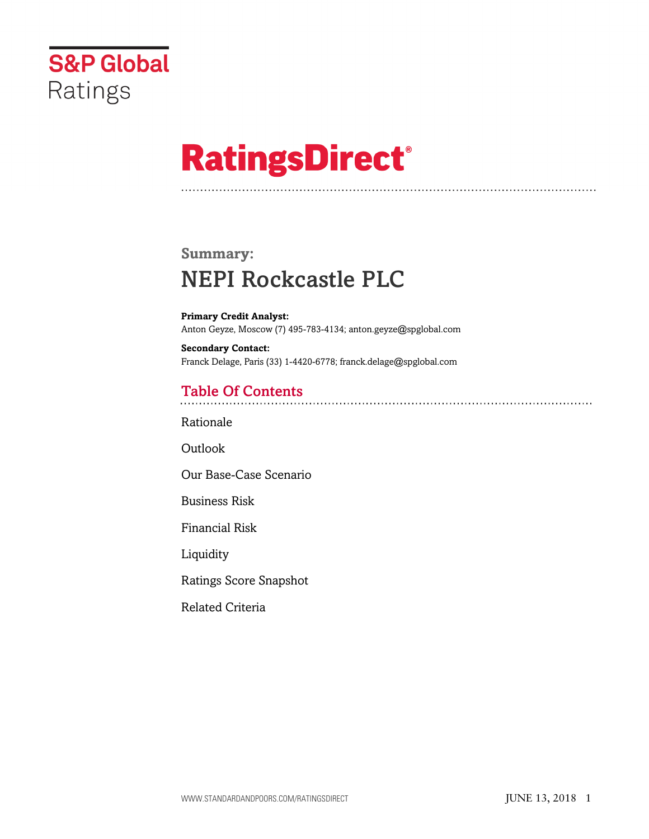

# **RatingsDirect®**

# **Summary:** NEPI Rockcastle PLC

**Primary Credit Analyst:** Anton Geyze, Moscow (7) 495-783-4134; anton.geyze@spglobal.com

**Secondary Contact:** Franck Delage, Paris (33) 1-4420-6778; franck.delage@spglobal.com

# Table Of Contents

[Rationale](#page-1-0)

**[Outlook](#page--1-0)** 

[Our Base-Case Scenario](#page-2-0)

[Business Risk](#page-3-0)

[Financial Risk](#page-4-0)

[Liquidity](#page-6-0)

[Ratings Score Snapshot](#page-6-1)

[Related Criteria](#page-7-0)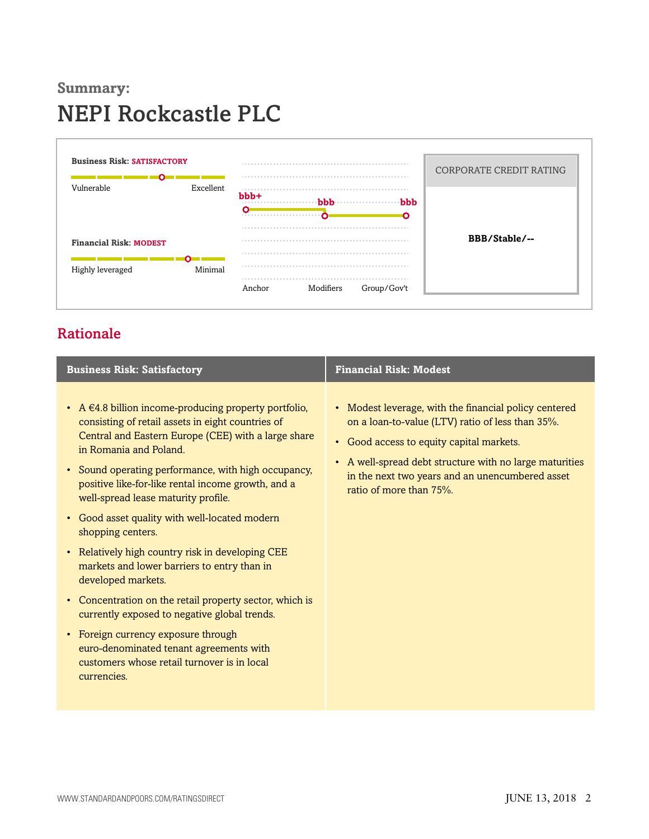# **Summary:** NEPI Rockcastle PLC



# <span id="page-1-0"></span>Rationale

| <b>Business Risk: Satisfactory</b>                                                                                                                                                                                                                                                                                                                                                                                                                                                                                                                                                                                                                                                                                                                                                                             | <b>Financial Risk: Modest</b>                                                                                                                                                                                                                                                                  |
|----------------------------------------------------------------------------------------------------------------------------------------------------------------------------------------------------------------------------------------------------------------------------------------------------------------------------------------------------------------------------------------------------------------------------------------------------------------------------------------------------------------------------------------------------------------------------------------------------------------------------------------------------------------------------------------------------------------------------------------------------------------------------------------------------------------|------------------------------------------------------------------------------------------------------------------------------------------------------------------------------------------------------------------------------------------------------------------------------------------------|
| • A $\in$ 4.8 billion income-producing property portfolio,<br>consisting of retail assets in eight countries of<br>Central and Eastern Europe (CEE) with a large share<br>in Romania and Poland.<br>• Sound operating performance, with high occupancy,<br>positive like-for-like rental income growth, and a<br>well-spread lease maturity profile.<br>• Good asset quality with well-located modern<br>shopping centers.<br>• Relatively high country risk in developing CEE<br>markets and lower barriers to entry than in<br>developed markets.<br>• Concentration on the retail property sector, which is<br>currently exposed to negative global trends.<br>• Foreign currency exposure through<br>euro-denominated tenant agreements with<br>customers whose retail turnover is in local<br>currencies. | • Modest leverage, with the financial policy centered<br>on a loan-to-value (LTV) ratio of less than 35%.<br>• Good access to equity capital markets.<br>• A well-spread debt structure with no large maturities<br>in the next two years and an unencumbered asset<br>ratio of more than 75%. |
|                                                                                                                                                                                                                                                                                                                                                                                                                                                                                                                                                                                                                                                                                                                                                                                                                |                                                                                                                                                                                                                                                                                                |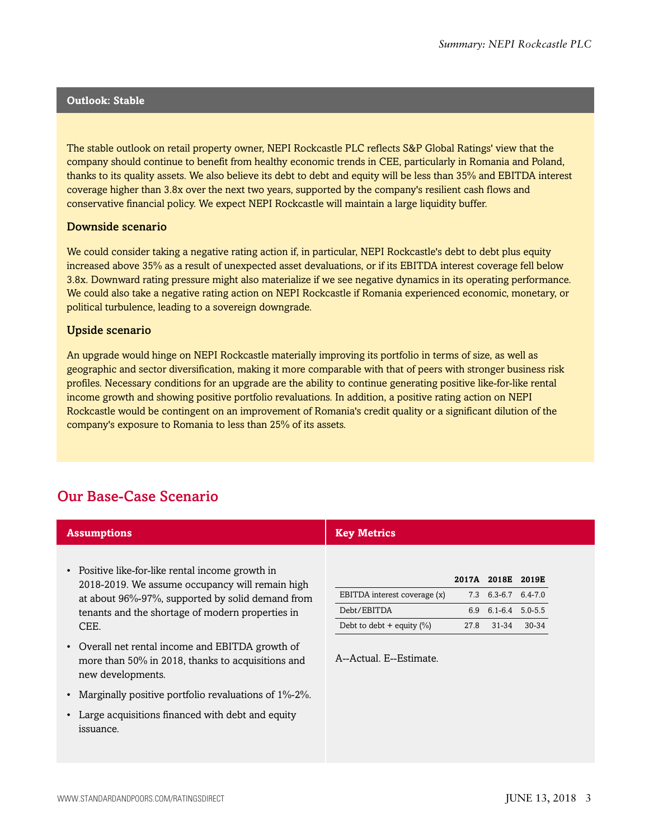#### **Outlook: Stable**

The stable outlook on retail property owner, NEPI Rockcastle PLC reflects S&P Global Ratings' view that the company should continue to benefit from healthy economic trends in CEE, particularly in Romania and Poland, thanks to its quality assets. We also believe its debt to debt and equity will be less than 35% and EBITDA interest coverage higher than 3.8x over the next two years, supported by the company's resilient cash flows and conservative financial policy. We expect NEPI Rockcastle will maintain a large liquidity buffer.

#### Downside scenario

We could consider taking a negative rating action if, in particular, NEPI Rockcastle's debt to debt plus equity increased above 35% as a result of unexpected asset devaluations, or if its EBITDA interest coverage fell below 3.8x. Downward rating pressure might also materialize if we see negative dynamics in its operating performance. We could also take a negative rating action on NEPI Rockcastle if Romania experienced economic, monetary, or political turbulence, leading to a sovereign downgrade.

#### Upside scenario

An upgrade would hinge on NEPI Rockcastle materially improving its portfolio in terms of size, as well as geographic and sector diversification, making it more comparable with that of peers with stronger business risk profiles. Necessary conditions for an upgrade are the ability to continue generating positive like-for-like rental income growth and showing positive portfolio revaluations. In addition, a positive rating action on NEPI Rockcastle would be contingent on an improvement of Romania's credit quality or a significant dilution of the company's exposure to Romania to less than 25% of its assets.

# <span id="page-2-0"></span>Our Base-Case Scenario

| <b>Assumptions</b>                                                                                                                                      | <b>Key Metrics</b>                          |             |                                              |       |
|---------------------------------------------------------------------------------------------------------------------------------------------------------|---------------------------------------------|-------------|----------------------------------------------|-------|
| • Positive like-for-like rental income growth in<br>2018-2019. We assume occupancy will remain high<br>at about 96%-97%, supported by solid demand from | EBITDA interest coverage (x)                | 7.3         | 2017A 2018E 2019E<br>$6.3 - 6.7$ $6.4 - 7.0$ |       |
| tenants and the shortage of modern properties in<br>CEE.                                                                                                | Debt/EBITDA<br>Debt to debt + equity $(\%)$ | 6.9<br>27.8 | $6.1 - 6.4$ 5.0-5.5<br>$31 - 34$             | 30-34 |
| Overall net rental income and EBITDA growth of<br>$\bullet$<br>more than 50% in 2018, thanks to acquisitions and<br>new developments.                   | A--Actual, E--Estimate.                     |             |                                              |       |
| • Marginally positive portfolio revaluations of 1%-2%.                                                                                                  |                                             |             |                                              |       |
| • Large acquisitions financed with debt and equity<br>issuance.                                                                                         |                                             |             |                                              |       |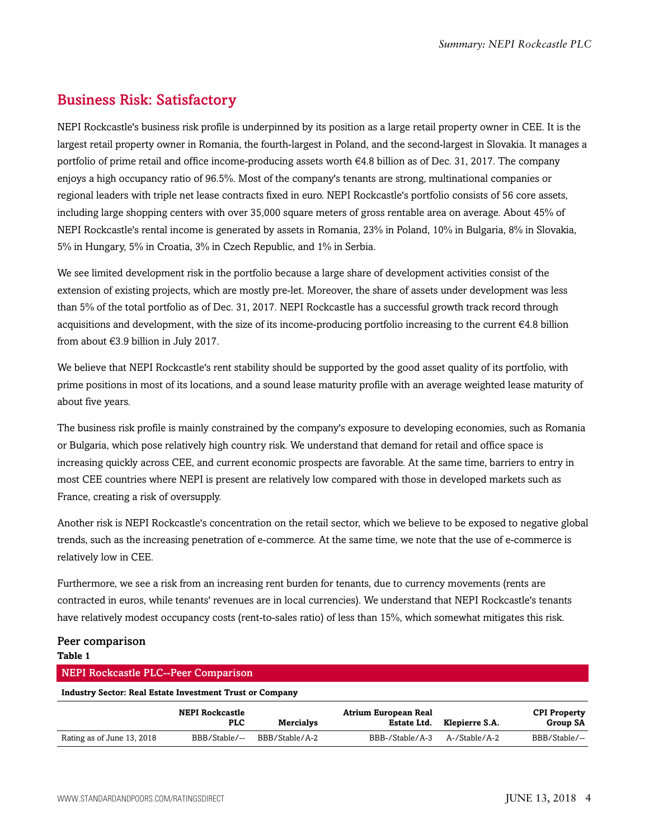# <span id="page-3-0"></span>Business Risk: Satisfactory

NEPI Rockcastle's business risk profile is underpinned by its position as a large retail property owner in CEE. It is the largest retail property owner in Romania, the fourth-largest in Poland, and the second-largest in Slovakia. It manages a portfolio of prime retail and office income-producing assets worth €4.8 billion as of Dec. 31, 2017. The company enjoys a high occupancy ratio of 96.5%. Most of the company's tenants are strong, multinational companies or regional leaders with triple net lease contracts fixed in euro. NEPI Rockcastle's portfolio consists of 56 core assets, including large shopping centers with over 35,000 square meters of gross rentable area on average. About 45% of NEPI Rockcastle's rental income is generated by assets in Romania, 23% in Poland, 10% in Bulgaria, 8% in Slovakia, 5% in Hungary, 5% in Croatia, 3% in Czech Republic, and 1% in Serbia.

We see limited development risk in the portfolio because a large share of development activities consist of the extension of existing projects, which are mostly pre-let. Moreover, the share of assets under development was less than 5% of the total portfolio as of Dec. 31, 2017. NEPI Rockcastle has a successful growth track record through acquisitions and development, with the size of its income-producing portfolio increasing to the current €4.8 billion from about €3.9 billion in July 2017.

We believe that NEPI Rockcastle's rent stability should be supported by the good asset quality of its portfolio, with prime positions in most of its locations, and a sound lease maturity profile with an average weighted lease maturity of about five years.

The business risk profile is mainly constrained by the company's exposure to developing economies, such as Romania or Bulgaria, which pose relatively high country risk. We understand that demand for retail and office space is increasing quickly across CEE, and current economic prospects are favorable. At the same time, barriers to entry in most CEE countries where NEPI is present are relatively low compared with those in developed markets such as France, creating a risk of oversupply.

Another risk is NEPI Rockcastle's concentration on the retail sector, which we believe to be exposed to negative global trends, such as the increasing penetration of e-commerce. At the same time, we note that the use of e-commerce is relatively low in CEE.

Furthermore, we see a risk from an increasing rent burden for tenants, due to currency movements (rents are contracted in euros, while tenants' revenues are in local currencies). We understand that NEPI Rockcastle's tenants have relatively modest occupancy costs (rent-to-sales ratio) of less than 15%, which somewhat mitigates this risk.

#### Peer comparison **Table 1**

| <b>NEPI Rockcastle PLC--Peer Comparison</b>                     |                                      |                  |                                            |                |                                        |  |
|-----------------------------------------------------------------|--------------------------------------|------------------|--------------------------------------------|----------------|----------------------------------------|--|
| <b>Industry Sector: Real Estate Investment Trust or Company</b> |                                      |                  |                                            |                |                                        |  |
|                                                                 | <b>NEPI Rockcastle</b><br><b>PLC</b> | <b>Mercialys</b> | <b>Atrium European Real</b><br>Estate Ltd. | Klepierre S.A. | <b>CPI Property</b><br><b>Group SA</b> |  |
| Rating as of June 13, 2018                                      | BBB/Stable/--                        | BBB/Stable/A-2   | BBB-/Stable/A-3                            | A-/Stable/A-2  | BBB/Stable/--                          |  |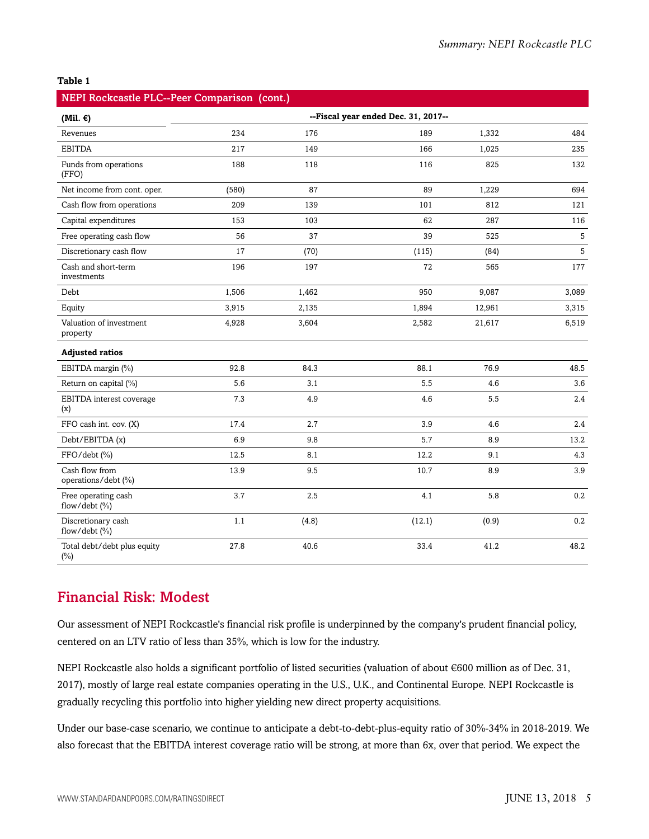#### **Table 1**

| NEPI Rockcastle PLC--Peer Comparison (cont.) |       |       |                                     |        |                 |
|----------------------------------------------|-------|-------|-------------------------------------|--------|-----------------|
| (Mil. $\epsilon$ )                           |       |       | --Fiscal year ended Dec. 31, 2017-- |        |                 |
| Revenues                                     | 234   | 176   | 189                                 | 1,332  | 484             |
| <b>EBITDA</b>                                | 217   | 149   | 166                                 | 1,025  | 235             |
| Funds from operations<br>(FFO)               | 188   | 118   | 116                                 | 825    | 132             |
| Net income from cont. oper.                  | (580) | 87    | 89                                  | 1,229  | 694             |
| Cash flow from operations                    | 209   | 139   | 101                                 | 812    | 121             |
| Capital expenditures                         | 153   | 103   | 62                                  | 287    | 116             |
| Free operating cash flow                     | 56    | 37    | 39                                  | 525    | $5\phantom{.0}$ |
| Discretionary cash flow                      | 17    | (70)  | (115)                               | (84)   | $5\phantom{.0}$ |
| Cash and short-term<br>investments           | 196   | 197   | 72                                  | 565    | 177             |
| Debt                                         | 1,506 | 1,462 | 950                                 | 9,087  | 3,089           |
| Equity                                       | 3,915 | 2,135 | 1,894                               | 12,961 | 3,315           |
| Valuation of investment<br>property          | 4,928 | 3,604 | 2,582                               | 21,617 | 6,519           |
| <b>Adjusted ratios</b>                       |       |       |                                     |        |                 |
| EBITDA margin (%)                            | 92.8  | 84.3  | 88.1                                | 76.9   | 48.5            |
| Return on capital (%)                        | 5.6   | 3.1   | 5.5                                 | 4.6    | 3.6             |
| EBITDA interest coverage<br>(x)              | 7.3   | 4.9   | 4.6                                 | 5.5    | 2.4             |
| FFO cash int. cov. (X)                       | 17.4  | 2.7   | 3.9                                 | 4.6    | 2.4             |
| Debt/EBITDA (x)                              | 6.9   | 9.8   | 5.7                                 | 8.9    | 13.2            |
| FFO/debt (%)                                 | 12.5  | 8.1   | 12.2                                | 9.1    | 4.3             |
| Cash flow from<br>operations/debt (%)        | 13.9  | 9.5   | 10.7                                | 8.9    | 3.9             |
| Free operating cash<br>flow/debt $(\% )$     | 3.7   | 2.5   | 4.1                                 | 5.8    | 0.2             |
| Discretionary cash<br>flow/debt $(\% )$      | 1.1   | (4.8) | (12.1)                              | (0.9)  | 0.2             |
| Total debt/debt plus equity<br>$(\%)$        | 27.8  | 40.6  | 33.4                                | 41.2   | 48.2            |

### <span id="page-4-0"></span>Financial Risk: Modest

Our assessment of NEPI Rockcastle's financial risk profile is underpinned by the company's prudent financial policy, centered on an LTV ratio of less than 35%, which is low for the industry.

NEPI Rockcastle also holds a significant portfolio of listed securities (valuation of about €600 million as of Dec. 31, 2017), mostly of large real estate companies operating in the U.S., U.K., and Continental Europe. NEPI Rockcastle is gradually recycling this portfolio into higher yielding new direct property acquisitions.

Under our base-case scenario, we continue to anticipate a debt-to-debt-plus-equity ratio of 30%-34% in 2018-2019. We also forecast that the EBITDA interest coverage ratio will be strong, at more than 6x, over that period. We expect the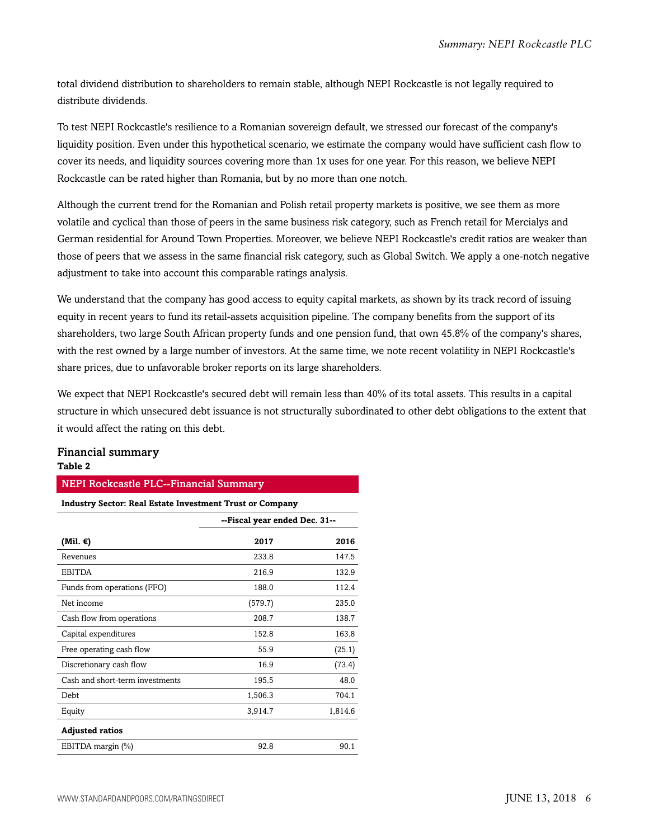total dividend distribution to shareholders to remain stable, although NEPI Rockcastle is not legally required to distribute dividends.

To test NEPI Rockcastle's resilience to a Romanian sovereign default, we stressed our forecast of the company's liquidity position. Even under this hypothetical scenario, we estimate the company would have sufficient cash flow to cover its needs, and liquidity sources covering more than 1x uses for one year. For this reason, we believe NEPI Rockcastle can be rated higher than Romania, but by no more than one notch.

Although the current trend for the Romanian and Polish retail property markets is positive, we see them as more volatile and cyclical than those of peers in the same business risk category, such as French retail for Mercialys and German residential for Around Town Properties. Moreover, we believe NEPI Rockcastle's credit ratios are weaker than those of peers that we assess in the same financial risk category, such as Global Switch. We apply a one-notch negative adjustment to take into account this comparable ratings analysis.

We understand that the company has good access to equity capital markets, as shown by its track record of issuing equity in recent years to fund its retail-assets acquisition pipeline. The company benefits from the support of its shareholders, two large South African property funds and one pension fund, that own 45.8% of the company's shares, with the rest owned by a large number of investors. At the same time, we note recent volatility in NEPI Rockcastle's share prices, due to unfavorable broker reports on its large shareholders.

We expect that NEPI Rockcastle's secured debt will remain less than 40% of its total assets. This results in a capital structure in which unsecured debt issuance is not structurally subordinated to other debt obligations to the extent that it would affect the rating on this debt.

#### Financial summary **Table 2**

#### NEPI Rockcastle PLC--Financial Summary

| <b>Industry Sector: Real Estate Investment Trust or Company</b> |                               |         |  |
|-----------------------------------------------------------------|-------------------------------|---------|--|
|                                                                 | --Fiscal year ended Dec. 31-- |         |  |
| (Mil. €)                                                        | 2017                          | 2016    |  |
| Revenues                                                        | 233.8                         | 147.5   |  |
| <b>EBITDA</b>                                                   | 216.9                         | 132.9   |  |
| Funds from operations (FFO)                                     | 188.0                         | 112.4   |  |
| Net income                                                      | (579.7)                       | 235.0   |  |
| Cash flow from operations                                       | 208.7                         | 138.7   |  |
| Capital expenditures                                            | 152.8                         | 163.8   |  |
| Free operating cash flow                                        | 55.9                          | (25.1)  |  |
| Discretionary cash flow                                         | 16.9                          | (73.4)  |  |
| Cash and short-term investments                                 | 195.5                         | 48.0    |  |
| Debt                                                            | 1,506.3                       | 704.1   |  |
| Equity                                                          | 3,914.7                       | 1,814.6 |  |
| <b>Adjusted ratios</b>                                          |                               |         |  |
| EBITDA margin (%)                                               | 92.8                          | 90.1    |  |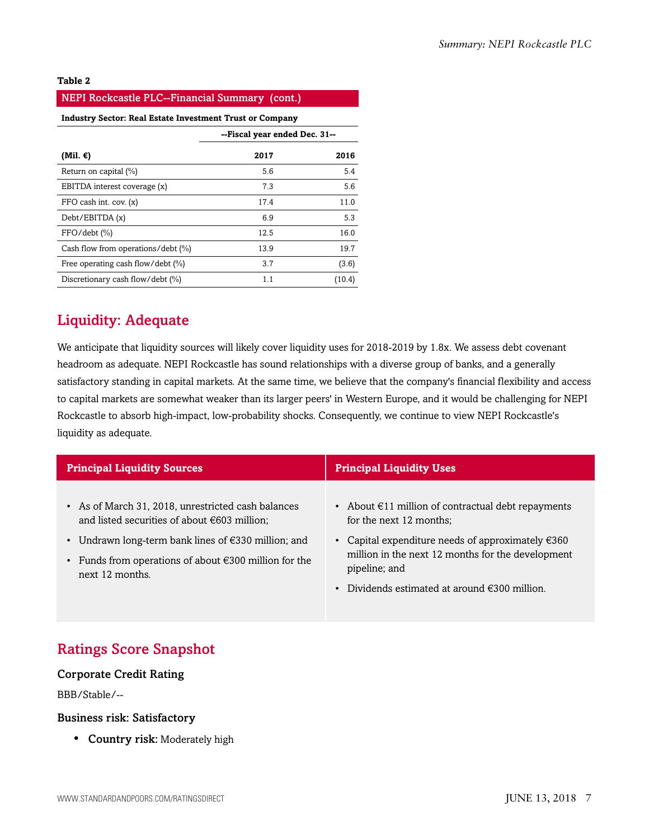#### **Table 2**

| <b>NEPI Rockcastle PLC--Financial Summary (cont.)</b>    |                               |        |  |  |
|----------------------------------------------------------|-------------------------------|--------|--|--|
| Industry Sector: Real Estate Investment Trust or Company |                               |        |  |  |
|                                                          | --Fiscal year ended Dec. 31-- |        |  |  |
| (Mil. €)                                                 | 2017                          | 2016   |  |  |
| Return on capital (%)                                    | 5.6                           | 5.4    |  |  |
| EBITDA interest coverage (x)                             | 7.3                           | 5.6    |  |  |
| FFO cash int. cov. (x)                                   | 17.4                          | 11.0   |  |  |
| Debt/EBITDA (x)                                          | 6.9                           | 5.3    |  |  |
| $FFO/debt$ $(\% )$                                       | 12.5                          | 16.0   |  |  |
| Cash flow from operations/debt (%)                       | 13.9                          | 19.7   |  |  |
| Free operating cash flow/debt (%)                        | 3.7                           | (3.6)  |  |  |
| Discretionary cash flow/debt (%)                         | 1.1                           | (10.4) |  |  |

### <span id="page-6-0"></span>Liquidity: Adequate

We anticipate that liquidity sources will likely cover liquidity uses for 2018-2019 by 1.8x. We assess debt covenant headroom as adequate. NEPI Rockcastle has sound relationships with a diverse group of banks, and a generally satisfactory standing in capital markets. At the same time, we believe that the company's financial flexibility and access to capital markets are somewhat weaker than its larger peers' in Western Europe, and it would be challenging for NEPI Rockcastle to absorb high-impact, low-probability shocks. Consequently, we continue to view NEPI Rockcastle's liquidity as adequate.

| <b>Principal Liquidity Sources</b>                                                                                                                                            | <b>Principal Liquidity Uses</b>                                                                                                                      |
|-------------------------------------------------------------------------------------------------------------------------------------------------------------------------------|------------------------------------------------------------------------------------------------------------------------------------------------------|
| • As of March 31, 2018, unrestricted cash balances<br>and listed securities of about $\epsilon$ 603 million;<br>• Undrawn long-term bank lines of $\epsilon$ 330 million; and | • About $\epsilon$ 11 million of contractual debt repayments<br>for the next 12 months;<br>Capital expenditure needs of approximately $\epsilon$ 360 |
| • Funds from operations of about $\epsilon$ 300 million for the<br>next 12 months.                                                                                            | million in the next 12 months for the development<br>pipeline; and<br>Dividends estimated at around $\epsilon$ 300 million.                          |

# <span id="page-6-1"></span>Ratings Score Snapshot

#### Corporate Credit Rating

BBB/Stable/--

#### Business risk: Satisfactory

• Country risk: Moderately high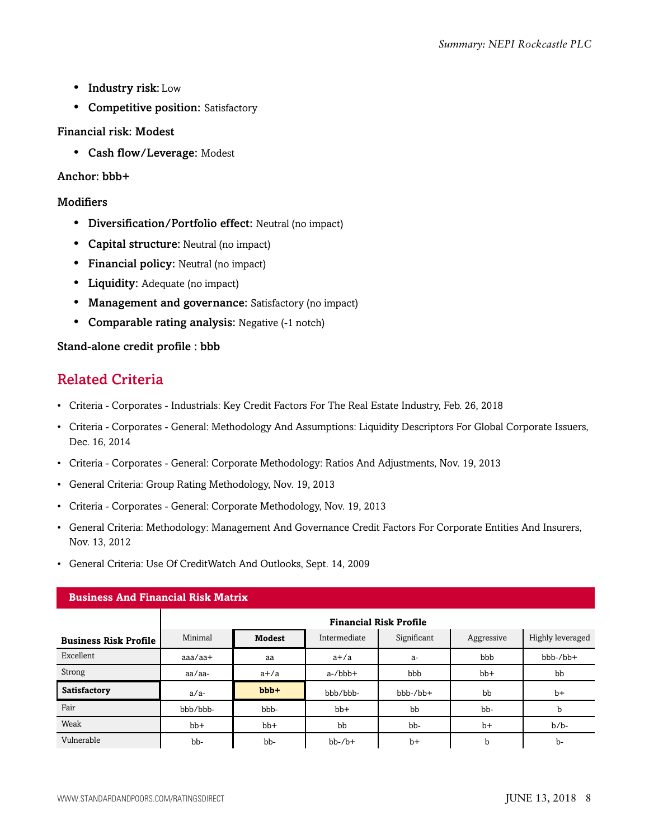- Industry risk: Low
- Competitive position: Satisfactory

#### Financial risk: Modest

• Cash flow/Leverage: Modest

#### Anchor: bbb+

#### **Modifiers**

- Diversification/Portfolio effect: Neutral (no impact)
- Capital structure: Neutral (no impact)
- Financial policy: Neutral (no impact)
- Liquidity: Adequate (no impact)
- Management and governance: Satisfactory (no impact)
- Comparable rating analysis: Negative (-1 notch)

#### <span id="page-7-0"></span>Stand-alone credit profile : bbb

# Related Criteria

- Criteria Corporates Industrials: Key Credit Factors For The Real Estate Industry, Feb. 26, 2018
- Criteria Corporates General: Methodology And Assumptions: Liquidity Descriptors For Global Corporate Issuers, Dec. 16, 2014
- Criteria Corporates General: Corporate Methodology: Ratios And Adjustments, Nov. 19, 2013
- General Criteria: Group Rating Methodology, Nov. 19, 2013
- Criteria Corporates General: Corporate Methodology, Nov. 19, 2013
- General Criteria: Methodology: Management And Governance Credit Factors For Corporate Entities And Insurers, Nov. 13, 2012
- General Criteria: Use Of CreditWatch And Outlooks, Sept. 14, 2009

| <b>Business And Financial Risk Matrix</b> |                               |         |              |             |            |                  |
|-------------------------------------------|-------------------------------|---------|--------------|-------------|------------|------------------|
|                                           | <b>Financial Risk Profile</b> |         |              |             |            |                  |
| <b>Business Risk Profile</b>              | Minimal                       | Modest  | Intermediate | Significant | Aggressive | Highly leveraged |
| Excellent                                 | $a$ aa $/a$ a $+$             | aa      | $a+/a$       | $a-$        | bbb        | bbb-/bb+         |
| Strong                                    | aa/aa-                        | $a+/a$  | $a$ -/ $bbb$ | bbb         | $bb+$      | bb               |
| Satisfactory                              | $a/a-$                        | $bbb +$ | bbb/bbb-     | $bbb-/bb+$  | bb         | $b+$             |
| Fair                                      | bbb/bbb-                      | bbb-    | $bb+$        | bb          | bb-        | b                |
| Weak                                      | $bb+$                         | $bb+$   | bb           | bb-         | $b+$       | $b/b$ -          |
| Vulnerable                                | bb-                           | bb-     | $bb-$ / $b+$ | $b+$        | b          | b-               |

#### **Business And Financial Risk Matrix**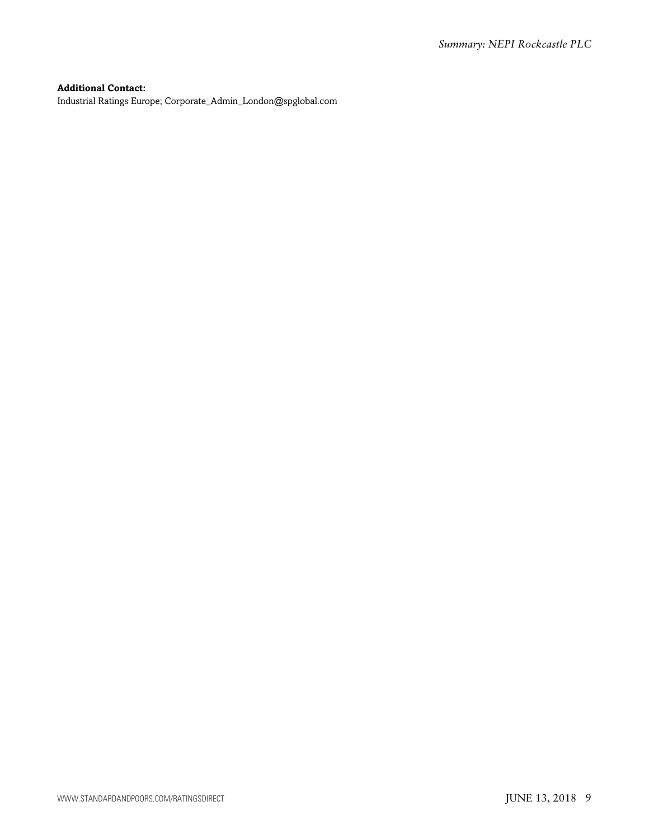#### **Additional Contact:**

Industrial Ratings Europe; Corporate\_Admin\_London@spglobal.com